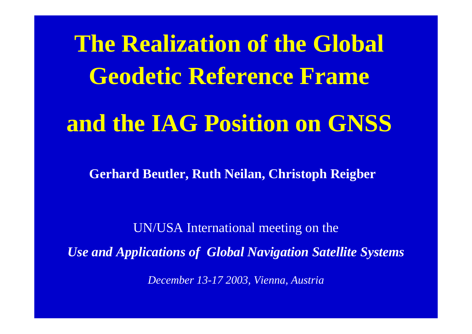**The Realization of the Global Geodetic Reference Frame and the IAG Position on GNSS**

**Gerhard Beutler, Ruth Neilan, Christoph Reigber**

UN/USA International meeting on the

*Use and Applications of Global Navigation Satellite Systems*

*December 13-17 2003, Vienna, Austria*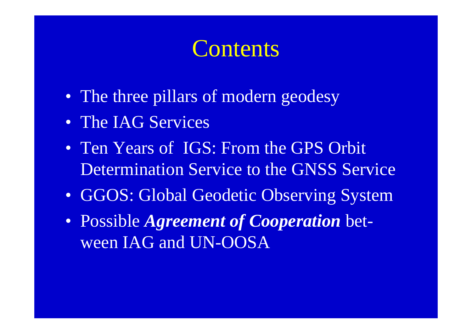### **Contents**

- The three pillars of modern geodesy
- The IAG Services
- Ten Years of IGS: From the GPS Orbit Determination Service to the GNSS Service
- GGOS: Global Geodetic Observing System
- Possible *Agreement of Cooperation* between IAG and UN-OOSA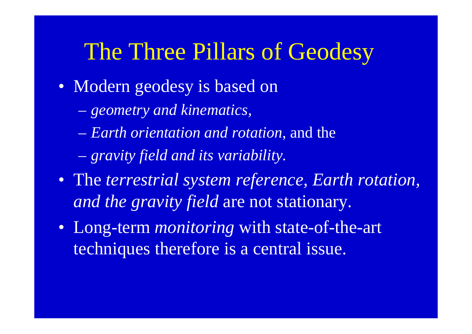### The Three Pillars of Geodesy

- Modern geodesy is based on
	- $\mathcal{L}_{\mathcal{A}}$ *geometry and kinematics,*
	- *Earth orientation and rotation*, and the
	- *gravity field and its variability.*
- The *terrestrial system reference, Earth rotation, and the gravity field* are not stationary.
- Long-term *monitoring* with state-of-the-art techniques therefore is a central issue.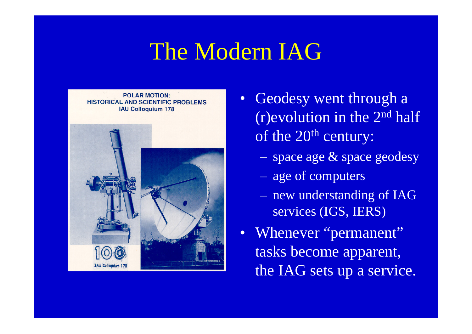## The Modern IAG



- •Geodesy went through a (r)evolution in the 2nd half of the 20<sup>th</sup> century:
	- space age & space geodesy
	- age of computers
	- new understanding of IAG services (IGS, IERS)
- Whenever "permanent" tasks become apparent, the IAG sets up a service.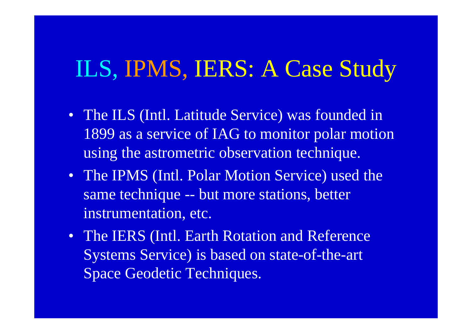## ILS, IPMS, IERS: A Case Study

- The ILS (Intl. Latitude Service) was founded in 1899 as a service of IAG to monitor polar motion using the astrometric observation technique.
- The IPMS (Intl. Polar Motion Service) used the same technique -- but more stations, better instrumentation, etc.
- The IERS (Intl. Earth Rotation and Reference Systems Service) is based on state-of-the-art Space Geodetic Techniques.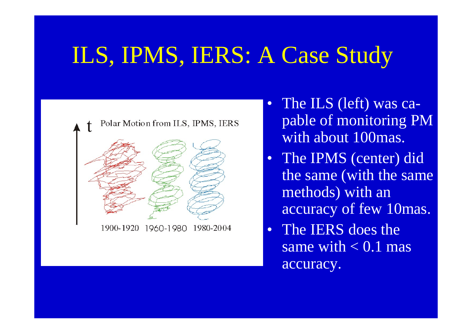# ILS, IPMS, IERS: A Case Study



1900-1920 1980-2004 1960-1980

- $\bullet$  The ILS (left) was capable of monitoring PM with about 100mas.
- $\bullet$  The IPMS (center) did the same (with the same methods) with an accuracy of few 10mas.
- $\bullet$  The IERS does the same with  $< 0.1$  mas accuracy.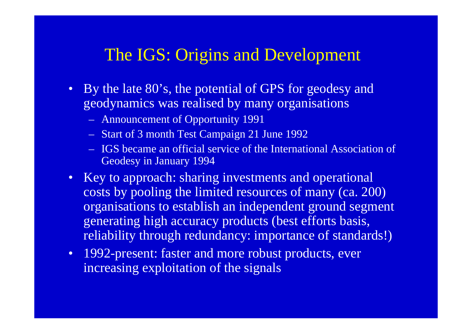#### The IGS: Origins and Development

- By the late 80's, the potential of GPS for geodesy and geodynamics was realised by many organisations
	- Announcement of Opportunity 1991
	- Start of 3 month Test Campaign 21 June 1992
	- IGS became an official service of the International Association of Geodesy in January 1994
- Key to approach: sharing investments and operational costs by pooling the limited resources of many (ca. 200) organisations to establish an independent ground segment generating high accuracy products (best efforts basis, reliability through redundancy: importance of standards!)
- 1992-present: faster and more robust products, ever increasing exploitation of the signals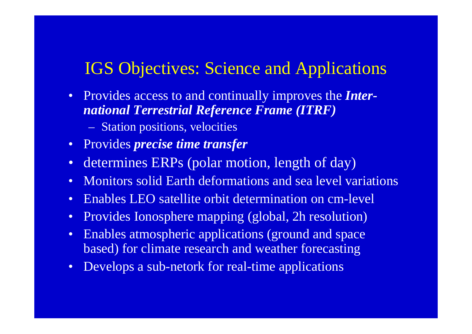#### IGS Objectives: Science and Applications

- Provides access to and continually improves the *International Terrestrial Reference Frame (ITRF)*
	- $\mathcal{L}_{\mathcal{A}}$ Station positions, velocities
- Provides *precise time transfer*
- $\bullet$ determines ERPs (polar motion, length of day)
- •Monitors solid Earth deformations and sea level variations
- •Enables LEO satellite orbit determination on cm-level
- •Provides Ionosphere mapping (global, 2h resolution)
- • Enables atmospheric applications (ground and space based) for climate research and weather forecasting
- $\bullet$ Develops a sub-netork for real-time applications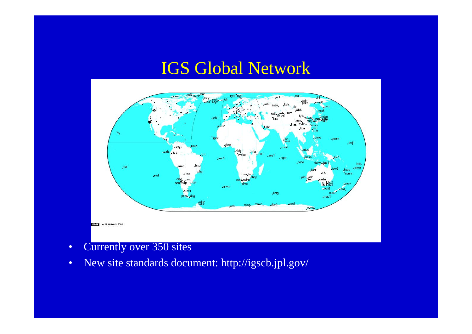#### IGS Global Network



- •Currently over 350 sites
- •New site standards document: http://igscb.jpl.gov/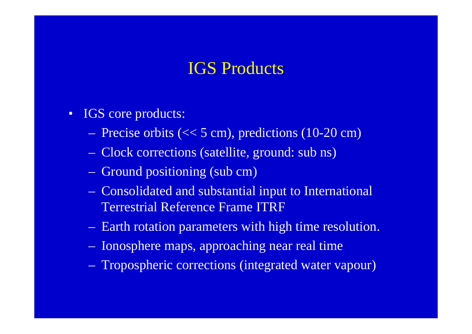#### IGS Products

- $\bullet$  IGS core products:
	- Precise orbits (<< 5 cm), predictions (10-20 cm)
	- Clock corrections (satellite, ground: sub ns)
	- Ground positioning (sub cm)
	- Consolidated and substantial input to International Terrestrial Reference Frame ITRF
	- Earth rotation parameters with high time resolution.
	- Ionosphere maps, approaching near real time
	- Tropospheric corrections (integrated water vapour)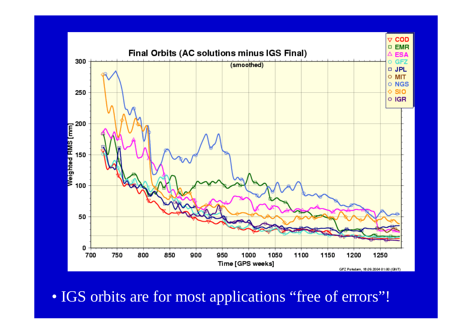

• IGS orbits are for most applications "free of errors"!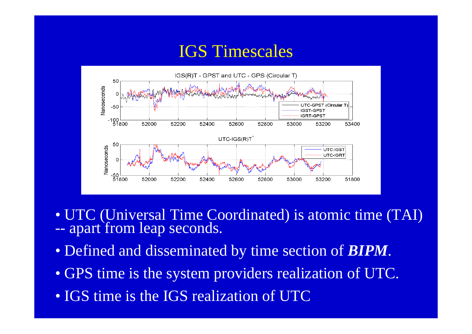#### IGS Timescales



- UTC (Universal Time Coordinated) is atomic time (TAI)  $\sim$  apart from leap seconds -- apart from leap seconds.
- Defined and disseminated by time section of *BIPM*.
- GPS time is the system providers realization of UTC.
- IGS time is the IGS realization of UTC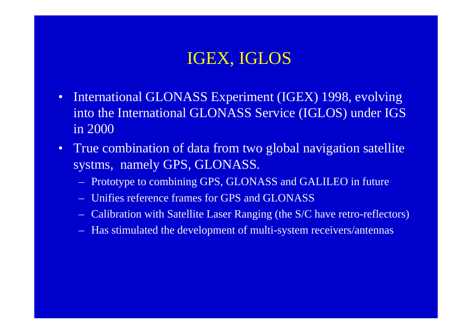#### IGEX, IGLOS

- • International GLONASS Experiment (IGEX) 1998, evolving into the International GLONASS Service (IGLOS) under IGS in 2000
- $\bullet$  True combination of data from two global navigation satellite systms, namely GPS, GLONASS.
	- Prototype to combining GPS, GLONASS and GALILEO in future
	- Unifies reference frames for GPS and GLONASS
	- Calibration with Satellite Laser Ranging (the S/C have retro-reflectors)
	- Has stimulated the development of multi-system receivers/antennas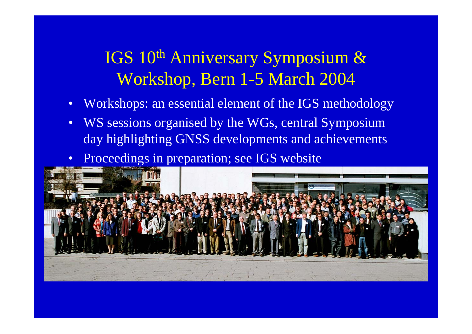### IGS 10th Anniversary Symposium & Workshop, Bern 1-5 March 2004

- •Workshops: an essential element of the IGS methodology
- •WS sessions organised by the WGs, central Symposium day highlighting GNSS developments and achievements
- $\bullet$ Proceedings in preparation; see IGS website

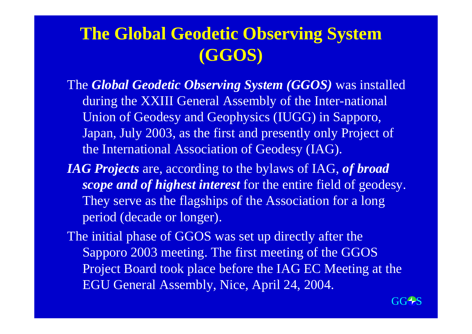#### **The Global Geodetic Observing System (GGOS)**

The *Global Geodetic Observing System (GGOS)* was installed during the XXIII General Assembly of the Inter-national Union of Geodesy and Geophysics (IUGG) in Sapporo, Japan, July 2003, as the first and presently only Project of the International Association of Geodesy (IAG).

*IAG Projects* are, according to the bylaws of IAG, *of broad scope and of highest interest* for the entire field of geodesy. They serve as the flagships of the Association for a long period (decade or longer).

The initial phase of GGOS was set up directly after the Sapporo 2003 meeting. The first meeting of the GGOS Project Board took place before the IAG EC Meeting at the EGU General Assembly, Nice, April 24, 2004.

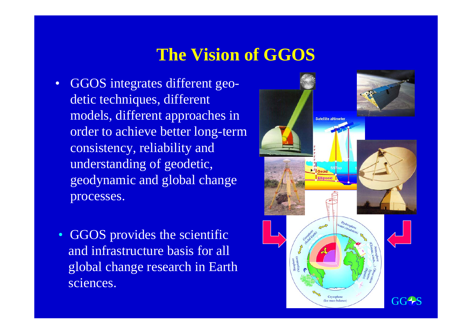### **The Vision of GGOS**

- • GGOS integrates different geodetic techniques, different models, different approaches in order to achieve better long-term consistency, reliability and understanding of geodetic, geodynamic and global change processes.
	- GGOS provides the scientific and infrastructure basis for all global change research in Earth sciences.

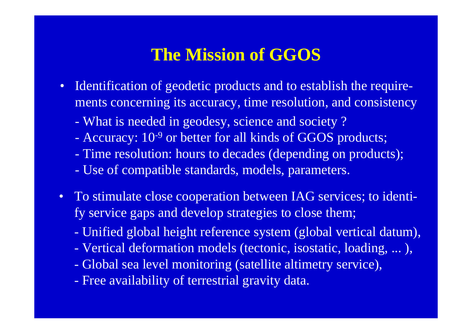#### **The Mission of GGOS**

- Identification of geodetic products and to establish the requirements concerning its accuracy, time resolution, and consistency
	- What is needed in geodesy, science and society ?
	- Accuracy: 10<sup>-9</sup> or better for all kinds of GGOS products;
	- Time resolution: hours to decades (depending on products);
	- Use of compatible standards, models, parameters.
- To stimulate close cooperation between IAG services; to identify service gaps and develop strategies to close them;
	- Unified global height reference system (global vertical datum),
	- Vertical deformation models (tectonic, isostatic, loading, ... ),
	- Global sea level monitoring (satellite altimetry service),
	- Free availability of terrestrial gravity data.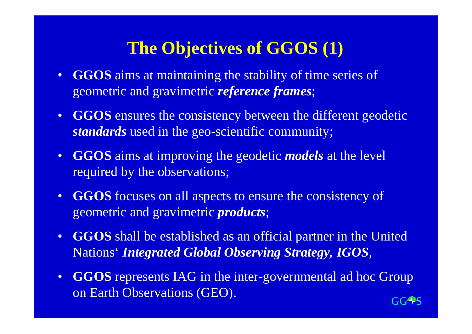#### **The Objectives of GGOS (1)**

- **GGOS** aims at maintaining the stability of time series of geometric and gravimetric *reference frames*;
- **GGOS** ensures the consistency between the different geodetic *standards* used in the geo-scientific community;
- **GGOS** aims at improving the geodetic *models* at the level required by the observations;
- **GGOS** focuses on all aspects to ensure the consistency of geometric and gravimetric *products*;
- $\bullet$  **GGOS** shall be established as an official partner in the United Nations' *Integrated Global Observing Strategy, IGOS*,
- $\bullet$  **GGOS** represents IAG in the inter-governmental ad hoc Group on Earth Observations (GEO).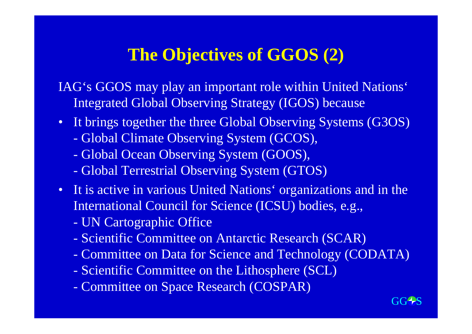#### **The Objectives of GGOS (2)**

IAG's GGOS may play an important role within United Nations' Integrated Global Observing Strategy (IGOS) because

- It brings together the three Global Observing Systems (G3OS)
	- **-**Global Climate Observing System (GCOS),
	- **-**Global Ocean Observing System (GOOS),
	- **-**Global Terrestrial Observing System (GTOS)
- It is active in various United Nations' organizations and in the International Council for Science (ICSU) bodies, e.g.,
	- -UN Cartographic Office
	- **-**Scientific Committee on Antarctic Research (SCAR)
	- **-**Committee on Data for Science and Technology (CODATA)
	- **-**Scientific Committee on the Lithosphere (SCL)
	- **-**Committee on Space Research (COSPAR)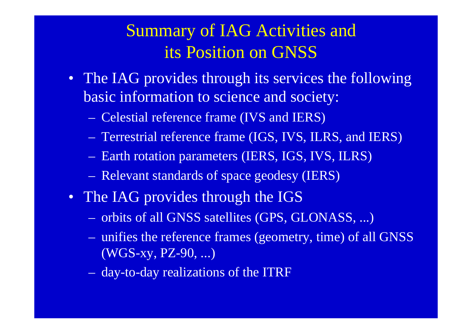### Summary of IAG Activities and its Position on GNSS

- The IAG provides through its services the following basic information to science and society:
	- Celestial reference frame (IVS and IERS)
	- Terrestrial reference frame (IGS, IVS, ILRS, and IERS)
	- Earth rotation parameters (IERS, IGS, IVS, ILRS)
	- Relevant standards of space geodesy (IERS)
- The IAG provides through the IGS
	- orbits of all GNSS satellites (GPS, GLONASS, ...)
	- unifies the reference frames (geometry, time) of all GNSS (WGS-xy, PZ-90, ...)
	- day-to-day realizations of the ITRF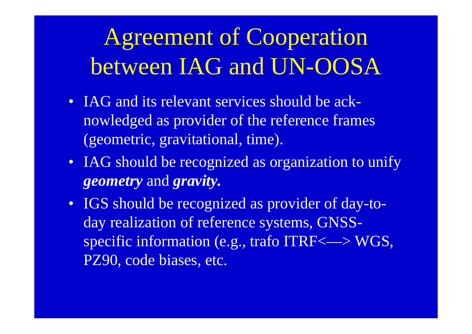# Agreement of Cooperation between IAG and UN-OOSA

- IAG and its relevant services should be acknowledged as provider of the reference frames (geometric, gravitational, time).
- IAG should be recognized as organization to unify *geometry* and *gravity.*
- IGS should be recognized as provider of day-today realization of reference systems, GNSSspecific information (e.g., trafo ITRF<—> WGS, PZ90, code biases, etc.